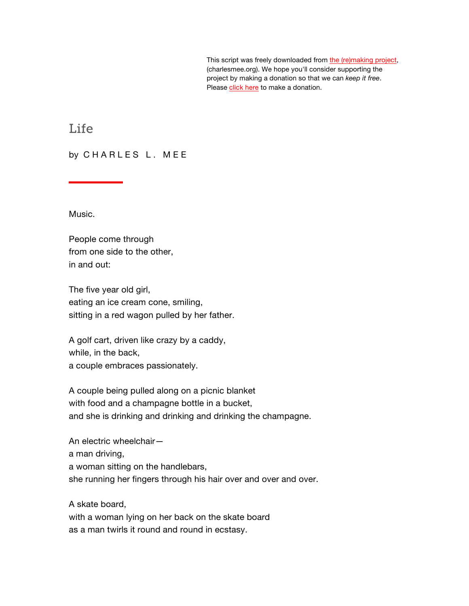This script was freely downloaded from the (re)making project, (charlesmee.org). We hope you'll consider supporting the project by making a donation so that we can *keep it free*. Please [click](http://www.charlesmee.org/support-the-project.shtml) here to make a donation.

Life

by CHARLES L. MEE

Music.

People come through from one side to the other, in and out:

The five year old girl, eating an ice cream cone, smiling, sitting in a red wagon pulled by her father.

A golf cart, driven like crazy by a caddy, while, in the back, a couple embraces passionately.

A couple being pulled along on a picnic blanket with food and a champagne bottle in a bucket, and she is drinking and drinking and drinking the champagne.

An electric wheelchair a man driving, a woman sitting on the handlebars, she running her fingers through his hair over and over and over.

A skate board, with a woman lying on her back on the skate board as a man twirls it round and round in ecstasy.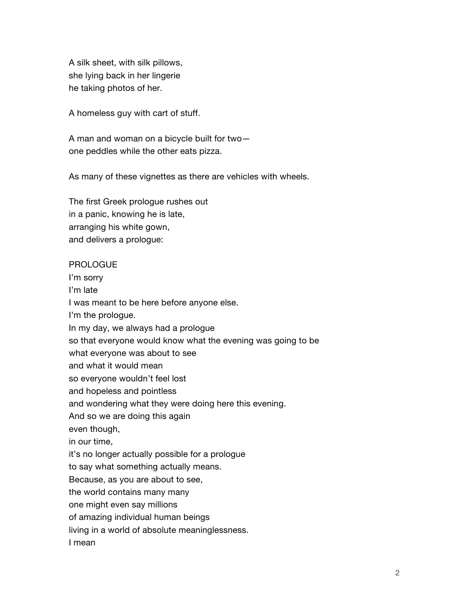A silk sheet, with silk pillows, she lying back in her lingerie he taking photos of her.

A homeless guy with cart of stuff.

A man and woman on a bicycle built for two one peddles while the other eats pizza.

As many of these vignettes as there are vehicles with wheels.

The first Greek prologue rushes out in a panic, knowing he is late, arranging his white gown, and delivers a prologue:

#### PROLOGUE

I'm sorry I'm late I was meant to be here before anyone else. I'm the prologue. In my day, we always had a prologue so that everyone would know what the evening was going to be what everyone was about to see and what it would mean so everyone wouldn't feel lost and hopeless and pointless and wondering what they were doing here this evening. And so we are doing this again even though, in our time, it's no longer actually possible for a prologue to say what something actually means. Because, as you are about to see, the world contains many many one might even say millions of amazing individual human beings living in a world of absolute meaninglessness. I mean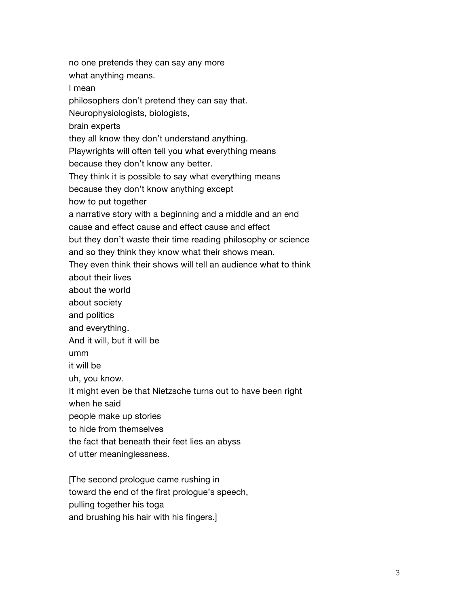no one pretends they can say any more what anything means. I mean philosophers don't pretend they can say that. Neurophysiologists, biologists, brain experts they all know they don't understand anything. Playwrights will often tell you what everything means because they don't know any better. They think it is possible to say what everything means because they don't know anything except how to put together a narrative story with a beginning and a middle and an end cause and effect cause and effect cause and effect but they don't waste their time reading philosophy or science and so they think they know what their shows mean. They even think their shows will tell an audience what to think about their lives about the world about society and politics and everything. And it will, but it will be umm it will be uh, you know. It might even be that Nietzsche turns out to have been right when he said people make up stories to hide from themselves the fact that beneath their feet lies an abyss of utter meaninglessness.

[The second prologue came rushing in toward the end of the first prologue's speech, pulling together his toga and brushing his hair with his fingers.]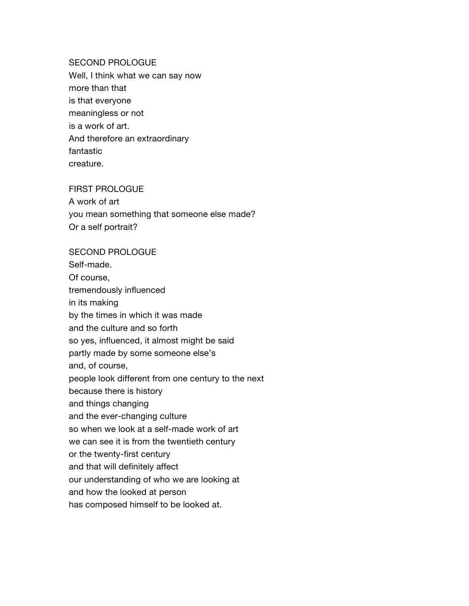### SECOND PROLOGUE

Well, I think what we can say now more than that is that everyone meaningless or not is a work of art. And therefore an extraordinary fantastic creature.

### FIRST PROLOGUE

A work of art you mean something that someone else made? Or a self portrait?

#### SECOND PROLOGUE

Self-made. Of course, tremendously influenced in its making by the times in which it was made and the culture and so forth so yes, influenced, it almost might be said partly made by some someone else's and, of course, people look different from one century to the next because there is history and things changing and the ever-changing culture so when we look at a self-made work of art we can see it is from the twentieth century or the twenty-first century and that will definitely affect our understanding of who we are looking at and how the looked at person has composed himself to be looked at.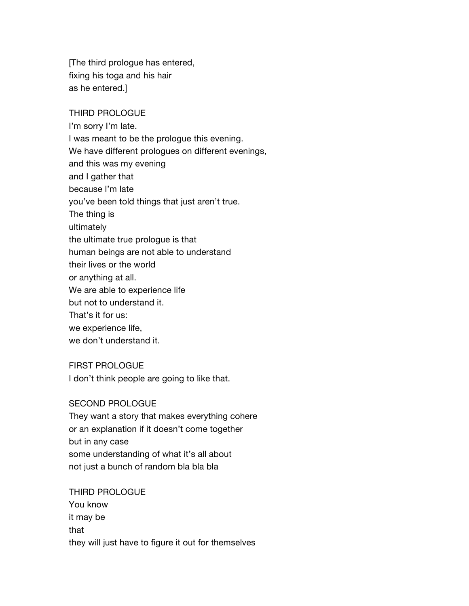[The third prologue has entered, fixing his toga and his hair as he entered.]

### THIRD PROLOGUE

I'm sorry I'm late.

I was meant to be the prologue this evening.

We have different prologues on different evenings,

and this was my evening

and I gather that

because I'm late

you've been told things that just aren't true.

The thing is

ultimately

the ultimate true prologue is that

human beings are not able to understand

their lives or the world

or anything at all.

We are able to experience life

but not to understand it.

That's it for us:

we experience life,

we don't understand it.

FIRST PROLOGUE

I don't think people are going to like that.

#### SECOND PROLOGUE

They want a story that makes everything cohere or an explanation if it doesn't come together but in any case some understanding of what it's all about not just a bunch of random bla bla bla

# THIRD PROLOGUE You know it may be that they will just have to figure it out for themselves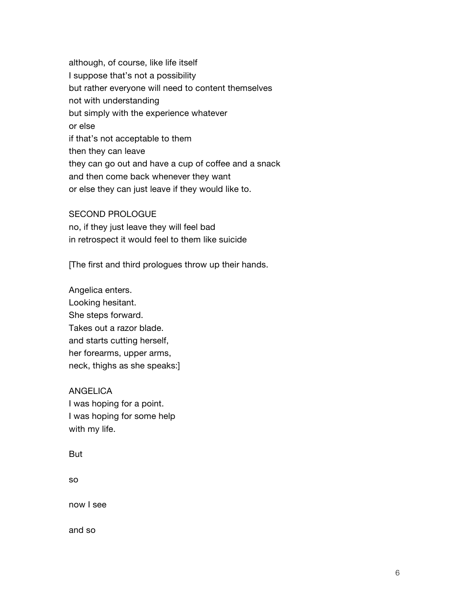although, of course, like life itself I suppose that's not a possibility but rather everyone will need to content themselves not with understanding but simply with the experience whatever or else if that's not acceptable to them then they can leave they can go out and have a cup of coffee and a snack and then come back whenever they want or else they can just leave if they would like to.

SECOND PROLOGUE

no, if they just leave they will feel bad in retrospect it would feel to them like suicide

[The first and third prologues throw up their hands.

Angelica enters. Looking hesitant. She steps forward. Takes out a razor blade. and starts cutting herself, her forearms, upper arms, neck, thighs as she speaks:]

ANGELICA I was hoping for a point. I was hoping for some help with my life.

But

so

now I see

and so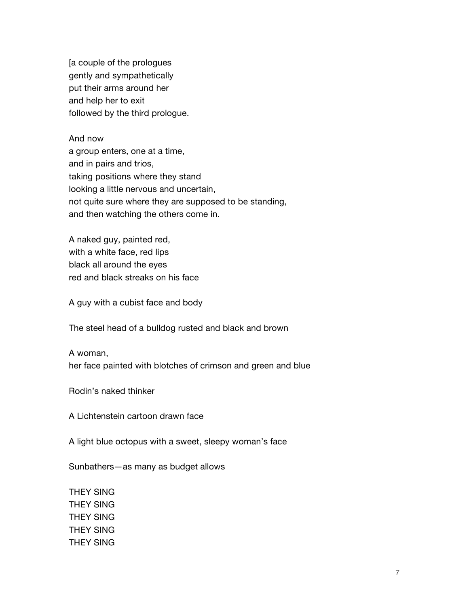[a couple of the prologues gently and sympathetically put their arms around her and help her to exit followed by the third prologue.

And now a group enters, one at a time, and in pairs and trios, taking positions where they stand looking a little nervous and uncertain, not quite sure where they are supposed to be standing, and then watching the others come in.

A naked guy, painted red, with a white face, red lips black all around the eyes red and black streaks on his face

A guy with a cubist face and body

The steel head of a bulldog rusted and black and brown

A woman, her face painted with blotches of crimson and green and blue

Rodin's naked thinker

A Lichtenstein cartoon drawn face

A light blue octopus with a sweet, sleepy woman's face

Sunbathers—as many as budget allows

THEY SING THEY SING THEY SING THEY SING THEY SING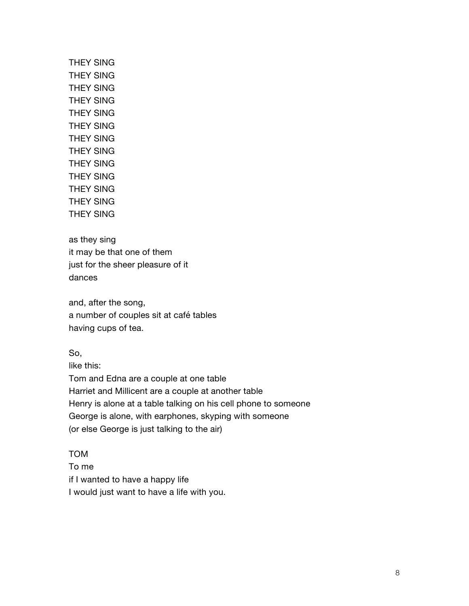# THEY SING THEY SING THEY SING THEY SING THEY SING THEY SING THEY SING THEY SING THEY SING THEY SING THEY SING THEY SING THEY SING

as they sing it may be that one of them just for the sheer pleasure of it dances

and, after the song, a number of couples sit at café tables having cups of tea.

### So,

like this:

Tom and Edna are a couple at one table Harriet and Millicent are a couple at another table Henry is alone at a table talking on his cell phone to someone George is alone, with earphones, skyping with someone (or else George is just talking to the air)

## TOM

To me if I wanted to have a happy life I would just want to have a life with you.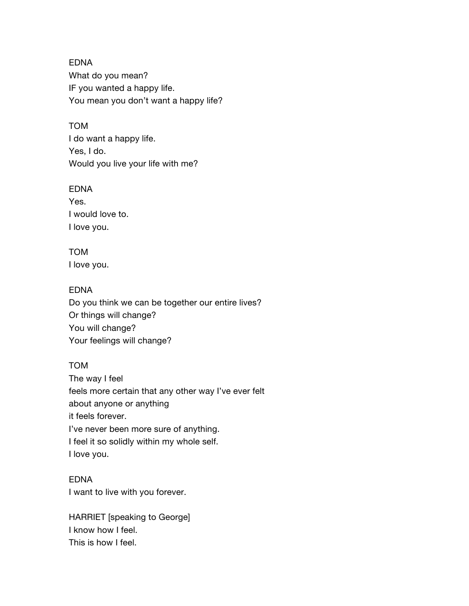EDNA What do you mean? IF you wanted a happy life. You mean you don't want a happy life?

TOM I do want a happy life. Yes, I do. Would you live your life with me?

### EDNA

Yes. I would love to. I love you.

## TOM

I love you.

### EDNA

Do you think we can be together our entire lives? Or things will change? You will change? Your feelings will change?

### TOM

The way I feel feels more certain that any other way I've ever felt about anyone or anything it feels forever. I've never been more sure of anything. I feel it so solidly within my whole self. I love you.

### EDNA

I want to live with you forever.

HARRIET [speaking to George] I know how I feel. This is how I feel.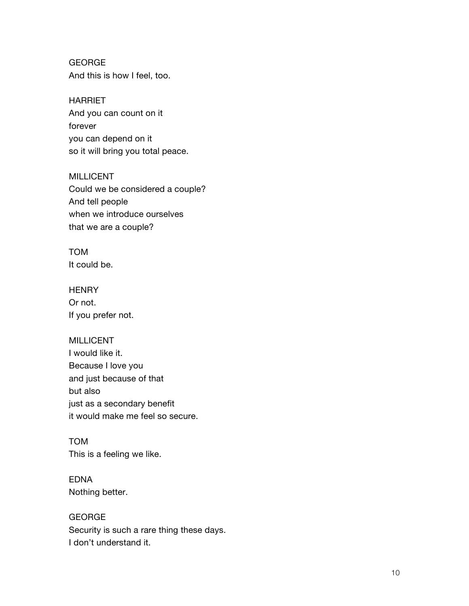GEORGE And this is how I feel, too.

**HARRIET** And you can count on it forever you can depend on it so it will bring you total peace.

MILLICENT Could we be considered a couple? And tell people when we introduce ourselves that we are a couple?

TOM It could be.

**HENRY** Or not. If you prefer not.

MILLICENT I would like it. Because I love you and just because of that but also just as a secondary benefit it would make me feel so secure.

TOM This is a feeling we like.

EDNA Nothing better.

**GEORGE** Security is such a rare thing these days. I don't understand it.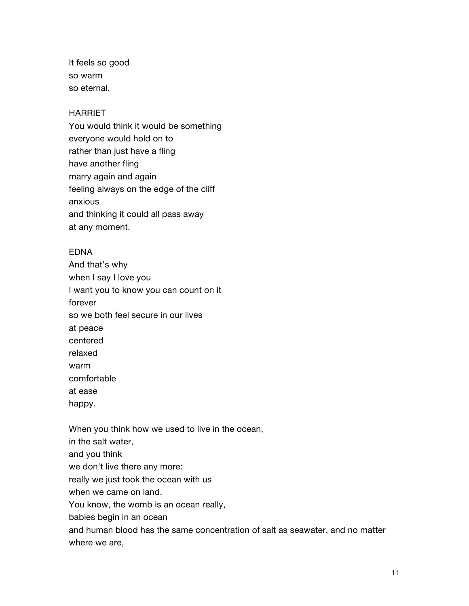It feels so good so warm so eternal.

### HARRIET

You would think it would be something everyone would hold on to rather than just have a fling have another fling marry again and again feeling always on the edge of the cliff anxious and thinking it could all pass away at any moment.

#### EDNA

And that's why when I say I love you I want you to know you can count on it forever so we both feel secure in our lives at peace centered relaxed warm comfortable at ease happy.

When you think how we used to live in the ocean,

in the salt water,

and you think

we don't live there any more:

really we just took the ocean with us

when we came on land.

You know, the womb is an ocean really,

babies begin in an ocean

and human blood has the same concentration of salt as seawater, and no matter where we are,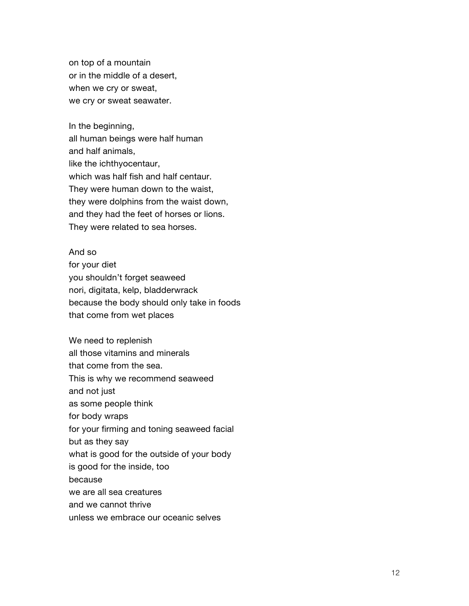on top of a mountain or in the middle of a desert, when we cry or sweat, we cry or sweat seawater.

In the beginning, all human beings were half human and half animals, like the ichthyocentaur, which was half fish and half centaur. They were human down to the waist, they were dolphins from the waist down, and they had the feet of horses or lions. They were related to sea horses.

### And so

for your diet you shouldn't forget seaweed nori, digitata, kelp, bladderwrack because the body should only take in foods that come from wet places

We need to replenish all those vitamins and minerals that come from the sea. This is why we recommend seaweed and not just as some people think for body wraps for your firming and toning seaweed facial but as they say what is good for the outside of your body is good for the inside, too because we are all sea creatures and we cannot thrive unless we embrace our oceanic selves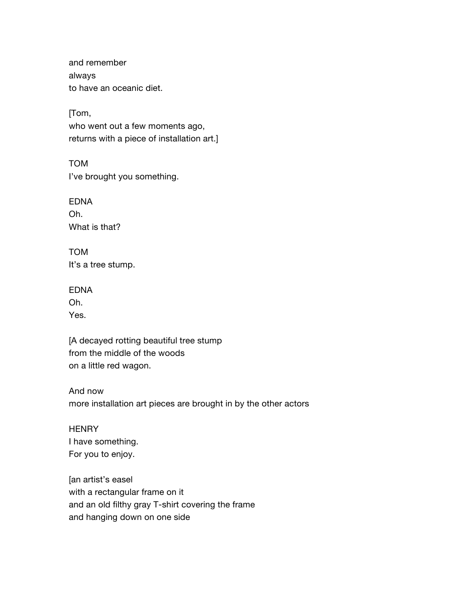and remember always to have an oceanic diet.

[Tom, who went out a few moments ago, returns with a piece of installation art.]

TOM I've brought you something.

EDNA Oh. What is that?

TOM It's a tree stump.

EDNA

Oh. Yes.

[A decayed rotting beautiful tree stump from the middle of the woods on a little red wagon.

And now more installation art pieces are brought in by the other actors

**HENRY** I have something. For you to enjoy.

[an artist's easel with a rectangular frame on it and an old filthy gray T-shirt covering the frame and hanging down on one side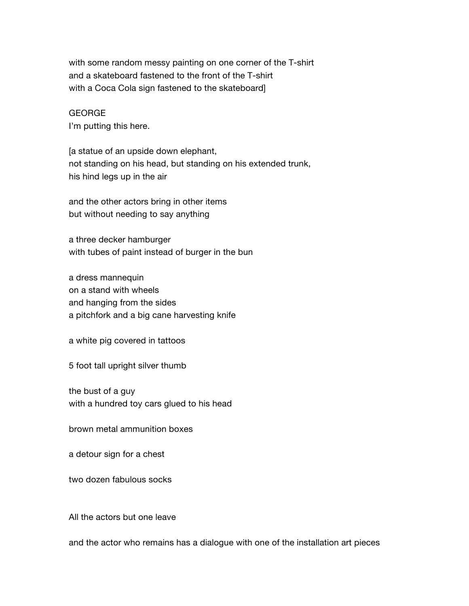with some random messy painting on one corner of the T-shirt and a skateboard fastened to the front of the T-shirt with a Coca Cola sign fastened to the skateboard]

### GEORGE

I'm putting this here.

[a statue of an upside down elephant, not standing on his head, but standing on his extended trunk, his hind legs up in the air

and the other actors bring in other items but without needing to say anything

a three decker hamburger with tubes of paint instead of burger in the bun

a dress mannequin on a stand with wheels and hanging from the sides a pitchfork and a big cane harvesting knife

a white pig covered in tattoos

5 foot tall upright silver thumb

the bust of a guy with a hundred toy cars glued to his head

brown metal ammunition boxes

a detour sign for a chest

two dozen fabulous socks

All the actors but one leave

and the actor who remains has a dialogue with one of the installation art pieces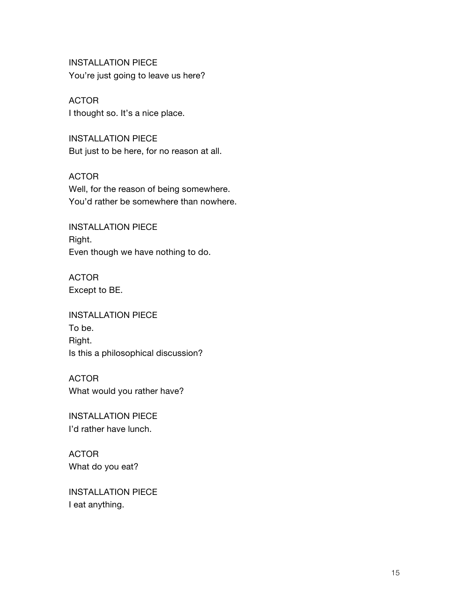INSTALLATION PIECE You're just going to leave us here?

ACTOR I thought so. It's a nice place.

INSTALLATION PIECE But just to be here, for no reason at all.

## ACTOR

Well, for the reason of being somewhere. You'd rather be somewhere than nowhere.

INSTALLATION PIECE Right. Even though we have nothing to do.

ACTOR Except to BE.

INSTALLATION PIECE To be. Right. Is this a philosophical discussion?

### ACTOR

What would you rather have?

INSTALLATION PIECE I'd rather have lunch.

ACTOR What do you eat?

INSTALLATION PIECE I eat anything.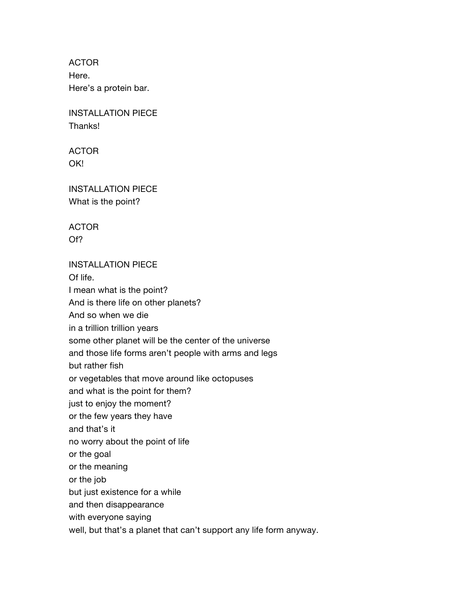ACTOR Here. Here's a protein bar.

INSTALLATION PIECE Thanks!

ACTOR OK!

INSTALLATION PIECE What is the point?

ACTOR

Of?

INSTALLATION PIECE

Of life. I mean what is the point? And is there life on other planets? And so when we die in a trillion trillion years some other planet will be the center of the universe and those life forms aren't people with arms and legs but rather fish or vegetables that move around like octopuses and what is the point for them? just to enjoy the moment? or the few years they have and that's it no worry about the point of life or the goal or the meaning or the job but just existence for a while and then disappearance with everyone saying well, but that's a planet that can't support any life form anyway.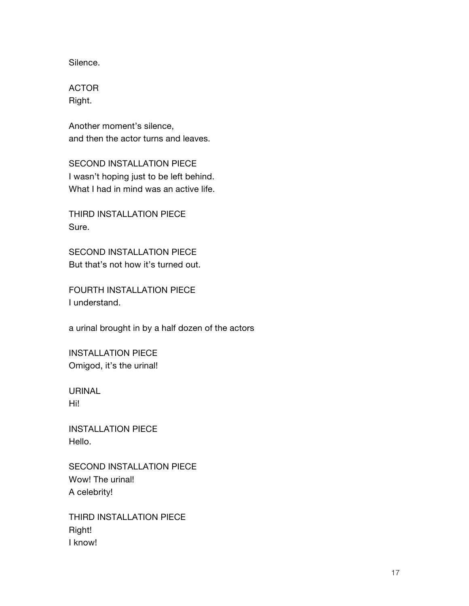Silence.

ACTOR Right.

Another moment's silence, and then the actor turns and leaves.

SECOND INSTALLATION PIECE I wasn't hoping just to be left behind. What I had in mind was an active life.

THIRD INSTALLATION PIECE Sure.

SECOND INSTALLATION PIECE But that's not how it's turned out.

FOURTH INSTALLATION PIECE I understand.

a urinal brought in by a half dozen of the actors

INSTALLATION PIECE Omigod, it's the urinal!

URINAL Hi!

INSTALLATION PIECE Hello.

SECOND INSTALLATION PIECE Wow! The urinal! A celebrity!

THIRD INSTALLATION PIECE Right! I know!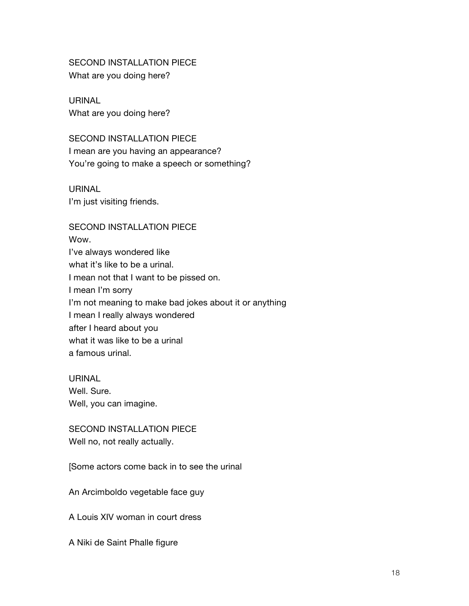SECOND INSTALLATION PIECE What are you doing here?

URINAL What are you doing here?

SECOND INSTALLATION PIECE I mean are you having an appearance? You're going to make a speech or something?

URINAL I'm just visiting friends.

SECOND INSTALLATION PIECE Wow. I've always wondered like what it's like to be a urinal. I mean not that I want to be pissed on. I mean I'm sorry I'm not meaning to make bad jokes about it or anything I mean I really always wondered after I heard about you what it was like to be a urinal a famous urinal.

URINAL Well. Sure. Well, you can imagine.

SECOND INSTALLATION PIECE Well no, not really actually.

[Some actors come back in to see the urinal

An Arcimboldo vegetable face guy

A Louis XIV woman in court dress

A Niki de Saint Phalle figure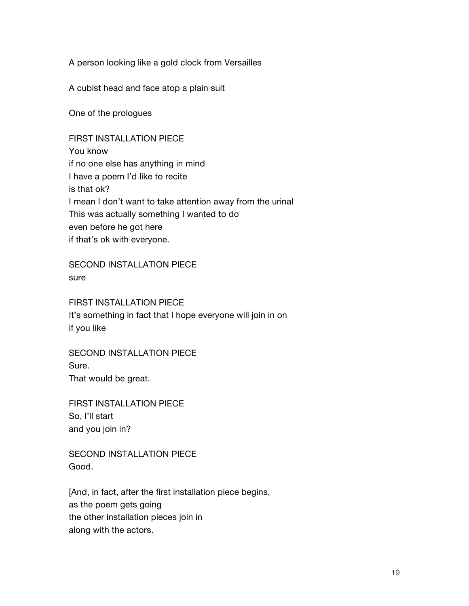A person looking like a gold clock from Versailles

A cubist head and face atop a plain suit

One of the prologues

FIRST INSTALLATION PIECE You know if no one else has anything in mind I have a poem I'd like to recite is that ok? I mean I don't want to take attention away from the urinal This was actually something I wanted to do even before he got here if that's ok with everyone.

SECOND INSTALLATION PIECE sure

FIRST INSTALLATION PIECE It's something in fact that I hope everyone will join in on if you like

SECOND INSTALLATION PIECE Sure.

That would be great.

FIRST INSTALLATION PIECE So, I'll start and you join in?

SECOND INSTALLATION PIECE Good.

[And, in fact, after the first installation piece begins, as the poem gets going the other installation pieces join in along with the actors.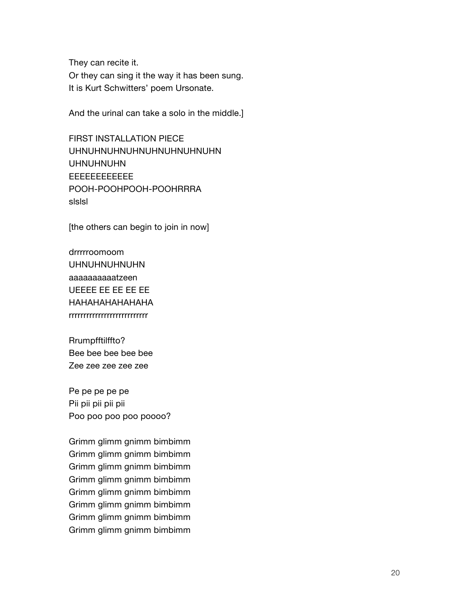They can recite it. Or they can sing it the way it has been sung. It is Kurt Schwitters' poem Ursonate.

And the urinal can take a solo in the middle.]

FIRST INSTALLATION PIECE UHNUHNUHNUHNUHNUHNUHNUHN UHNUHNUHN EEEEEEEEEEEE POOH-POOHPOOH-POOHRRRA slslsl

[the others can begin to join in now]

drrrrroomoom UHNUHNUHNUHN aaaaaaaaaatzeen UEEEE EE EE EE EE HAHAHAHAHAHAHA rrrrrrrrrrrrrrrrrrrrrrrrrrr

Rrumpfftilffto? Bee bee bee bee bee Zee zee zee zee zee

Pe pe pe pe pe Pii pii pii pii pii Poo poo poo poooo?

Grimm glimm gnimm bimbimm Grimm glimm gnimm bimbimm Grimm glimm gnimm bimbimm Grimm glimm gnimm bimbimm Grimm glimm gnimm bimbimm Grimm glimm gnimm bimbimm Grimm glimm gnimm bimbimm Grimm glimm gnimm bimbimm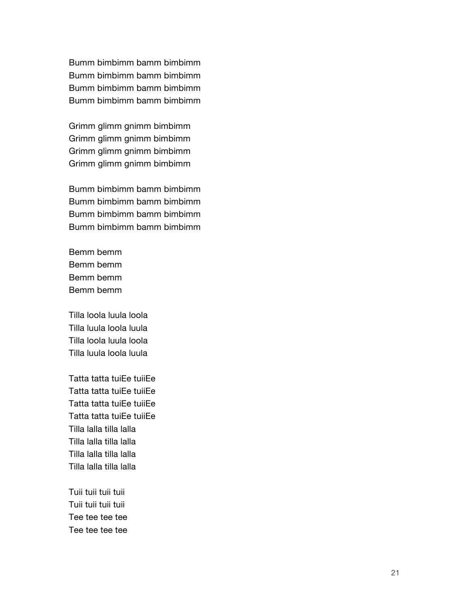Bumm bimbimm bamm bimbimm Bumm bimbimm bamm bimbimm Bumm bimbimm bamm bimbimm Bumm bimbimm bamm bimbimm

Grimm glimm gnimm bimbimm Grimm glimm gnimm bimbimm Grimm glimm gnimm bimbimm Grimm glimm gnimm bimbimm

Bumm bimbimm bamm bimbimm Bumm bimbimm bamm bimbimm Bumm bimbimm bamm bimbimm Bumm bimbimm bamm bimbimm

Bemm bemm Bemm bemm Bemm bemm Bemm bemm

Tilla loola luula loola Tilla luula loola luula Tilla loola luula loola Tilla luula loola luula

Tatta tatta tuiEe tuiiEe Tatta tatta tuiEe tuiiEe Tatta tatta tuiEe tuiiEe Tatta tatta tuiEe tuiiEe Tilla lalla tilla lalla Tilla lalla tilla lalla Tilla lalla tilla lalla Tilla lalla tilla lalla

Tuii tuii tuii tuii Tuii tuii tuii tuii Tee tee tee tee Tee tee tee tee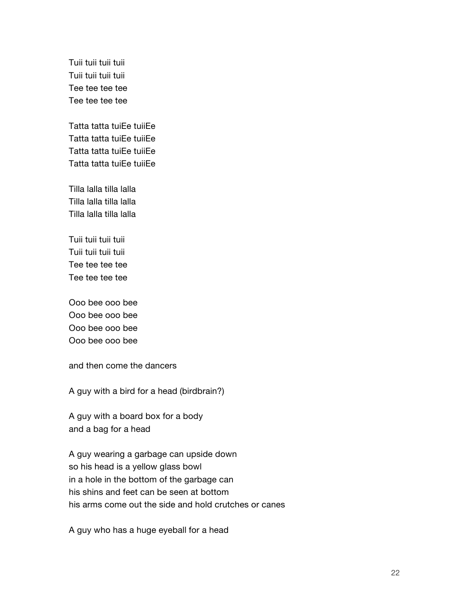Tuii tuii tuii tuii Tuii tuii tuii tuii Tee tee tee tee Tee tee tee tee

Tatta tatta tuiEe tuiiEe Tatta tatta tuiEe tuiiEe Tatta tatta tuiEe tuiiEe Tatta tatta tuiEe tuiiEe

Tilla lalla tilla lalla Tilla lalla tilla lalla Tilla lalla tilla lalla

Tuii tuii tuii tuii Tuii tuii tuii tuii Tee tee tee tee Tee tee tee tee

Ooo bee ooo bee Ooo bee ooo bee Ooo bee ooo bee Ooo bee ooo bee

and then come the dancers

A guy with a bird for a head (birdbrain?)

A guy with a board box for a body and a bag for a head

A guy wearing a garbage can upside down so his head is a yellow glass bowl in a hole in the bottom of the garbage can his shins and feet can be seen at bottom his arms come out the side and hold crutches or canes

A guy who has a huge eyeball for a head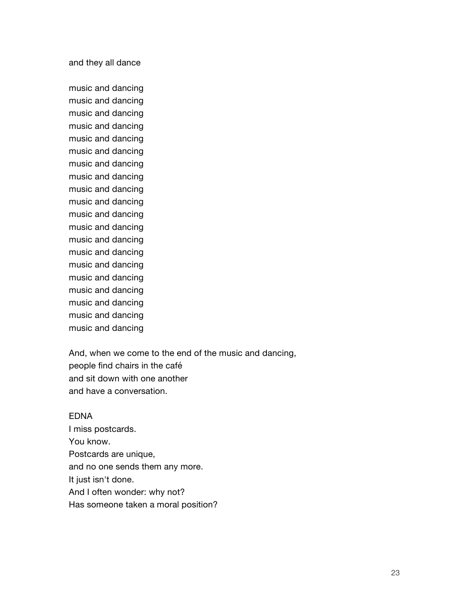and they all dance

music and dancing music and dancing music and dancing music and dancing music and dancing music and dancing music and dancing music and dancing music and dancing music and dancing music and dancing music and dancing music and dancing music and dancing music and dancing music and dancing music and dancing music and dancing music and dancing music and dancing

And, when we come to the end of the music and dancing, people find chairs in the café and sit down with one another and have a conversation.

# EDNA I miss postcards. You know. Postcards are unique, and no one sends them any more. It just isn't done. And I often wonder: why not? Has someone taken a moral position?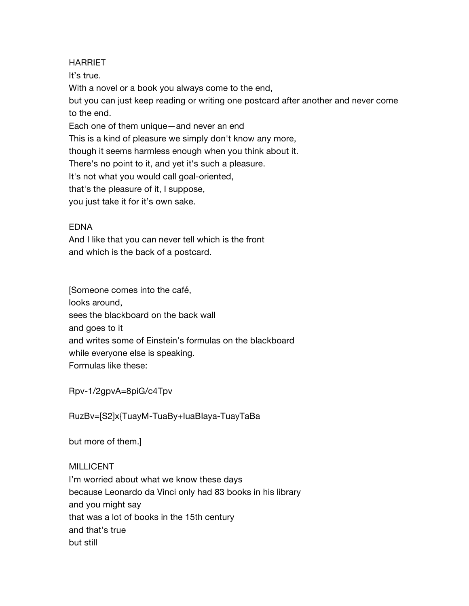## **HARRIET**

It's true.

With a novel or a book you always come to the end,

but you can just keep reading or writing one postcard after another and never come to the end.

Each one of them unique—and never an end

This is a kind of pleasure we simply don't know any more,

though it seems harmless enough when you think about it.

There's no point to it, and yet it's such a pleasure.

It's not what you would call goal-oriented,

that's the pleasure of it, I suppose,

you just take it for it's own sake.

## EDNA

And I like that you can never tell which is the front and which is the back of a postcard.

[Someone comes into the café, looks around, sees the blackboard on the back wall and goes to it and writes some of Einstein's formulas on the blackboard while everyone else is speaking. Formulas like these:

Rpv-1/2gpvA=8piG/c4Tpv

RuzBv=[S2]x{TuayM-TuaBy+IuaBIaya-TuayTaBa

but more of them.]

## MILLICENT

I'm worried about what we know these days because Leonardo da Vinci only had 83 books in his library and you might say that was a lot of books in the 15th century and that's true but still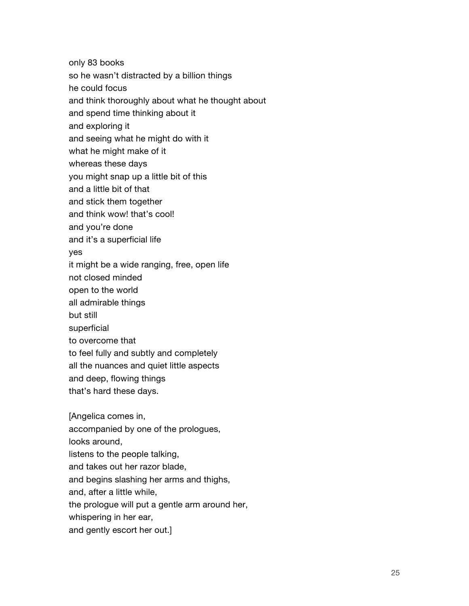only 83 books so he wasn't distracted by a billion things he could focus and think thoroughly about what he thought about and spend time thinking about it and exploring it and seeing what he might do with it what he might make of it whereas these days you might snap up a little bit of this and a little bit of that and stick them together and think wow! that's cool! and you're done and it's a superficial life yes it might be a wide ranging, free, open life not closed minded open to the world all admirable things but still superficial to overcome that to feel fully and subtly and completely all the nuances and quiet little aspects and deep, flowing things that's hard these days. [Angelica comes in, accompanied by one of the prologues, looks around,

listens to the people talking, and takes out her razor blade, and begins slashing her arms and thighs, and, after a little while, the prologue will put a gentle arm around her, whispering in her ear, and gently escort her out.]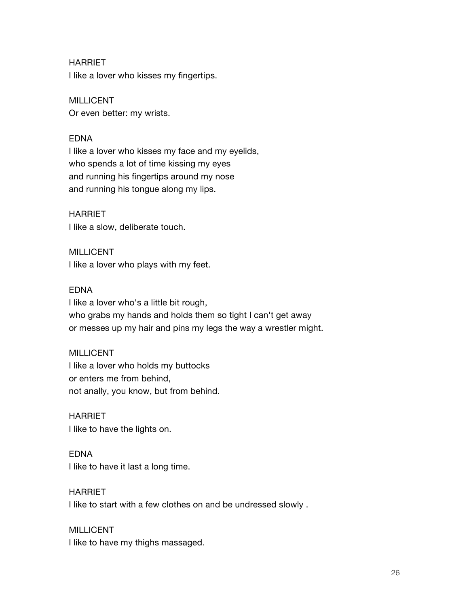HARRIET

I like a lover who kisses my fingertips.

MILLICENT Or even better: my wrists.

## EDNA

I like a lover who kisses my face and my eyelids, who spends a lot of time kissing my eyes and running his fingertips around my nose and running his tongue along my lips.

## HARRIET

I like a slow, deliberate touch.

MILLICENT I like a lover who plays with my feet.

### EDNA

I like a lover who's a little bit rough, who grabs my hands and holds them so tight I can't get away or messes up my hair and pins my legs the way a wrestler might.

## MILLICENT

I like a lover who holds my buttocks or enters me from behind, not anally, you know, but from behind.

## **HARRIET**

I like to have the lights on.

## EDNA

I like to have it last a long time.

## **HARRIET**

I like to start with a few clothes on and be undressed slowly .

# MILLICENT

I like to have my thighs massaged.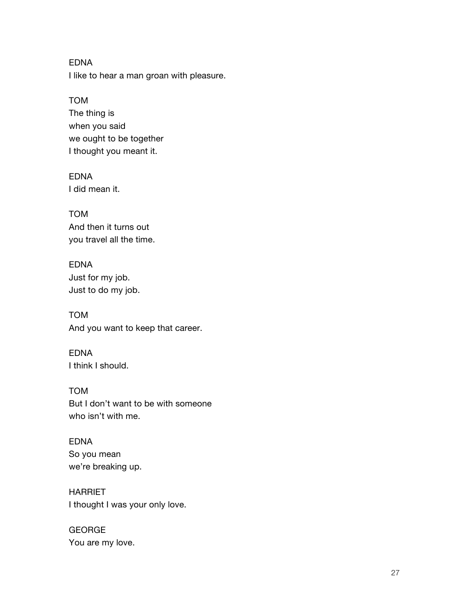EDNA

I like to hear a man groan with pleasure.

### TOM

The thing is when you said we ought to be together I thought you meant it.

## EDNA

I did mean it.

TOM And then it turns out you travel all the time.

## EDNA Just for my job. Just to do my job.

TOM And you want to keep that career.

EDNA I think I should.

# TOM But I don't want to be with someone who isn't with me.

## EDNA So you mean we're breaking up.

HARRIET I thought I was your only love.

GEORGE You are my love.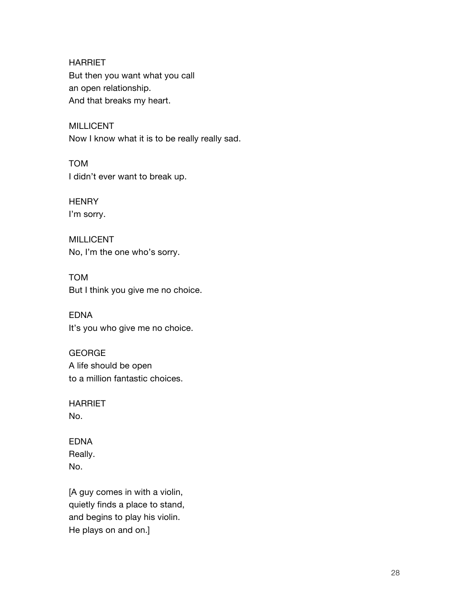HARRIET But then you want what you call an open relationship. And that breaks my heart.

MILLICENT Now I know what it is to be really really sad.

TOM I didn't ever want to break up.

**HENRY** I'm sorry.

MILLICENT No, I'm the one who's sorry.

TOM But I think you give me no choice.

EDNA It's you who give me no choice.

GEORGE A life should be open to a million fantastic choices.

HARRIET No.

EDNA Really. No.

[A guy comes in with a violin, quietly finds a place to stand, and begins to play his violin. He plays on and on.]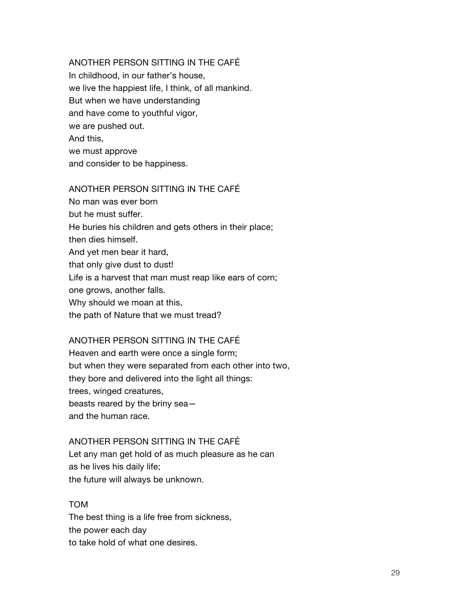## ANOTHER PERSON SITTING IN THE CAFÉ

In childhood, in our father's house, we live the happiest life, I think, of all mankind. But when we have understanding and have come to youthful vigor, we are pushed out. And this, we must approve and consider to be happiness.

### ANOTHER PERSON SITTING IN THE CAFÉ

No man was ever born but he must suffer. He buries his children and gets others in their place; then dies himself. And yet men bear it hard, that only give dust to dust! Life is a harvest that man must reap like ears of corn; one grows, another falls. Why should we moan at this, the path of Nature that we must tread?

## ANOTHER PERSON SITTING IN THE CAFÉ

Heaven and earth were once a single form; but when they were separated from each other into two, they bore and delivered into the light all things: trees, winged creatures, beasts reared by the briny sea and the human race.

### ANOTHER PERSON SITTING IN THE CAFÉ

Let any man get hold of as much pleasure as he can as he lives his daily life; the future will always be unknown.

#### TOM

The best thing is a life free from sickness, the power each day to take hold of what one desires.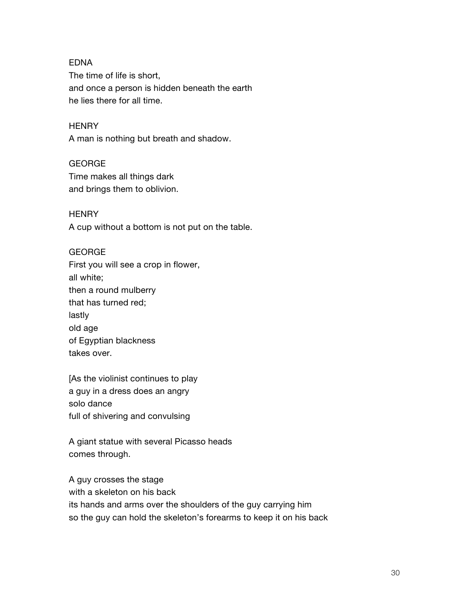### EDNA

The time of life is short, and once a person is hidden beneath the earth he lies there for all time.

### **HENRY**

A man is nothing but breath and shadow.

### **GEORGE**

Time makes all things dark and brings them to oblivion.

### **HENRY**

A cup without a bottom is not put on the table.

### GEORGE

First you will see a crop in flower, all white; then a round mulberry that has turned red; lastly old age of Egyptian blackness takes over.

[As the violinist continues to play a guy in a dress does an angry solo dance full of shivering and convulsing

A giant statue with several Picasso heads comes through.

A guy crosses the stage with a skeleton on his back its hands and arms over the shoulders of the guy carrying him so the guy can hold the skeleton's forearms to keep it on his back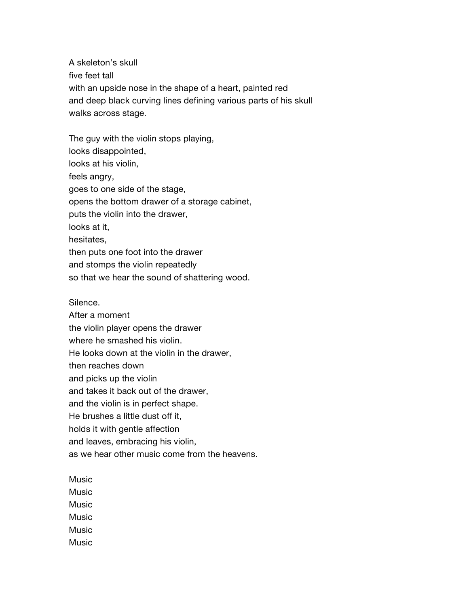A skeleton's skull five feet tall with an upside nose in the shape of a heart, painted red and deep black curving lines defining various parts of his skull walks across stage.

The guy with the violin stops playing, looks disappointed, looks at his violin, feels angry, goes to one side of the stage, opens the bottom drawer of a storage cabinet, puts the violin into the drawer, looks at it, hesitates, then puts one foot into the drawer and stomps the violin repeatedly so that we hear the sound of shattering wood.

#### Silence.

After a moment the violin player opens the drawer where he smashed his violin. He looks down at the violin in the drawer, then reaches down and picks up the violin and takes it back out of the drawer, and the violin is in perfect shape. He brushes a little dust off it, holds it with gentle affection and leaves, embracing his violin, as we hear other music come from the heavens.

Music Music Music **Music** Music Music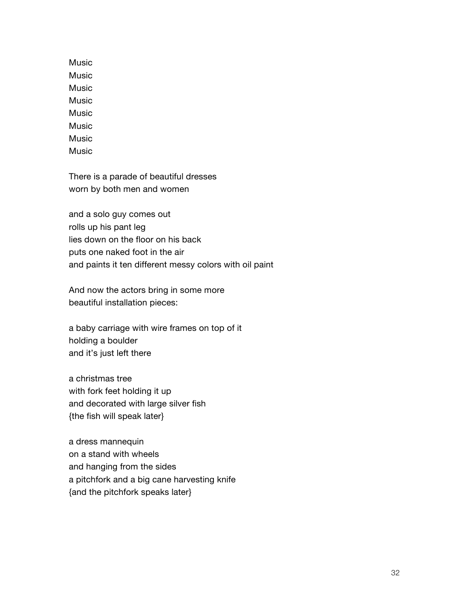Music Music Music **Music** Music Music Music Music

There is a parade of beautiful dresses worn by both men and women

and a solo guy comes out rolls up his pant leg lies down on the floor on his back puts one naked foot in the air and paints it ten different messy colors with oil paint

And now the actors bring in some more beautiful installation pieces:

a baby carriage with wire frames on top of it holding a boulder and it's just left there

a christmas tree with fork feet holding it up and decorated with large silver fish {the fish will speak later}

a dress mannequin on a stand with wheels and hanging from the sides a pitchfork and a big cane harvesting knife {and the pitchfork speaks later}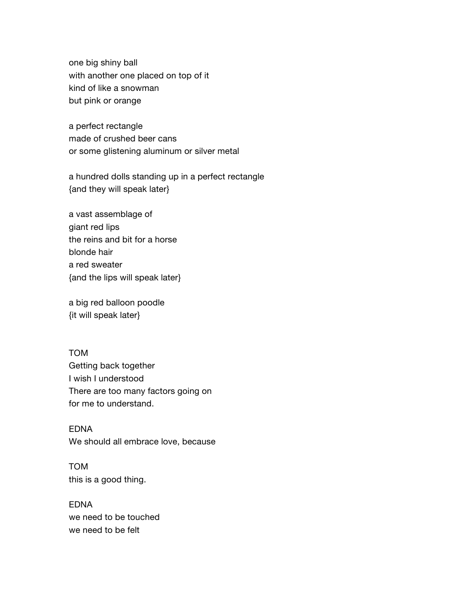one big shiny ball with another one placed on top of it kind of like a snowman but pink or orange

a perfect rectangle made of crushed beer cans or some glistening aluminum or silver metal

a hundred dolls standing up in a perfect rectangle {and they will speak later}

a vast assemblage of giant red lips the reins and bit for a horse blonde hair a red sweater {and the lips will speak later}

a big red balloon poodle {it will speak later}

TOM Getting back together I wish I understood There are too many factors going on for me to understand.

EDNA We should all embrace love, because

TOM this is a good thing.

EDNA we need to be touched we need to be felt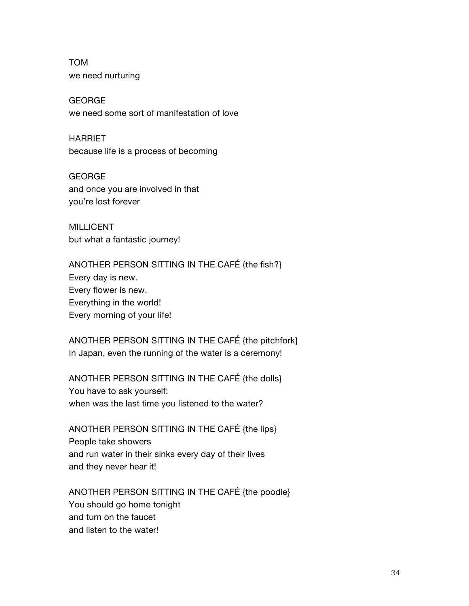TOM we need nurturing

GEORGE we need some sort of manifestation of love

HARRIET because life is a process of becoming

GEORGE and once you are involved in that you're lost forever

MILLICENT but what a fantastic journey!

ANOTHER PERSON SITTING IN THE CAFÉ {the fish?} Every day is new. Every flower is new. Everything in the world! Every morning of your life!

ANOTHER PERSON SITTING IN THE CAFÉ {the pitchfork} In Japan, even the running of the water is a ceremony!

ANOTHER PERSON SITTING IN THE CAFÉ {the dolls} You have to ask yourself: when was the last time you listened to the water?

ANOTHER PERSON SITTING IN THE CAFÉ {the lips} People take showers and run water in their sinks every day of their lives and they never hear it!

ANOTHER PERSON SITTING IN THE CAFÉ {the poodle} You should go home tonight and turn on the faucet and listen to the water!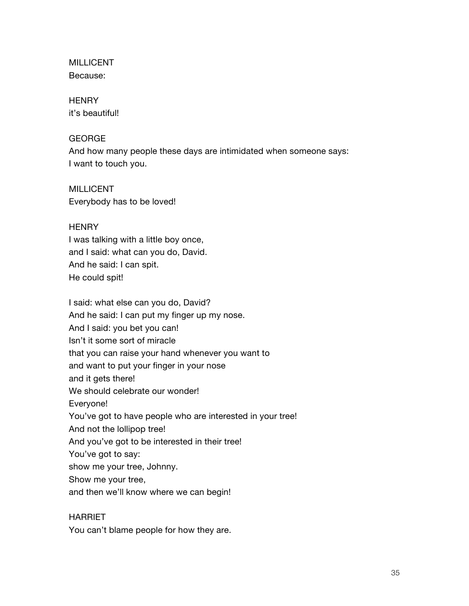## MILLICENT Because:

# **HENRY**

it's beautiful!

## GEORGE

And how many people these days are intimidated when someone says: I want to touch you.

MILLICENT Everybody has to be loved!

## **HENRY**

I was talking with a little boy once, and I said: what can you do, David. And he said: I can spit. He could spit!

I said: what else can you do, David? And he said: I can put my finger up my nose. And I said: you bet you can! Isn't it some sort of miracle that you can raise your hand whenever you want to and want to put your finger in your nose and it gets there! We should celebrate our wonder! Everyone! You've got to have people who are interested in your tree! And not the lollipop tree! And you've got to be interested in their tree! You've got to say: show me your tree, Johnny. Show me your tree, and then we'll know where we can begin!

# HARRIET

You can't blame people for how they are.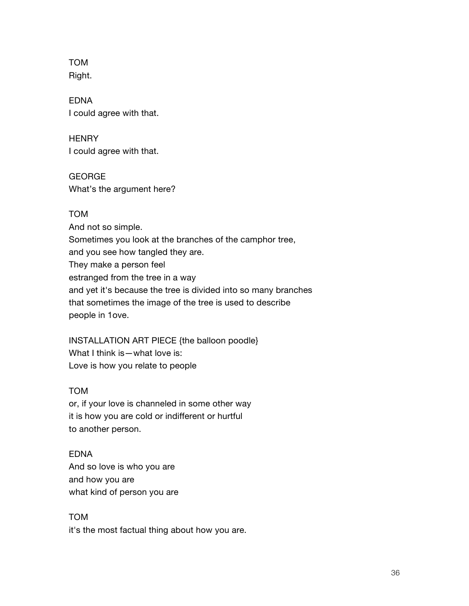TOM Right.

EDNA I could agree with that.

**HENRY** I could agree with that.

**GEORGE** What's the argument here?

### TOM

And not so simple. Sometimes you look at the branches of the camphor tree, and you see how tangled they are. They make a person feel estranged from the tree in a way and yet it's because the tree is divided into so many branches that sometimes the image of the tree is used to describe people in 1ove.

INSTALLATION ART PIECE {the balloon poodle} What I think is—what love is: Love is how you relate to people

### TOM

or, if your love is channeled in some other way it is how you are cold or indifferent or hurtful to another person.

### EDNA

And so love is who you are and how you are what kind of person you are

### TOM

it's the most factual thing about how you are.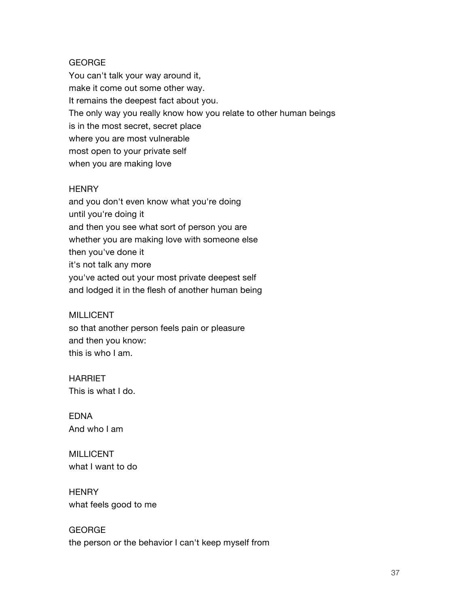### GEORGE

You can't talk your way around it, make it come out some other way. It remains the deepest fact about you. The only way you really know how you relate to other human beings is in the most secret, secret place where you are most vulnerable most open to your private self when you are making love

### **HENRY**

and you don't even know what you're doing until you're doing it and then you see what sort of person you are whether you are making love with someone else then you've done it it's not talk any more you've acted out your most private deepest self and lodged it in the flesh of another human being

### MILLICENT

so that another person feels pain or pleasure and then you know: this is who I am.

## **HARRIET** This is what I do.

EDNA And who I am

MILLICENT what I want to do

**HENRY** what feels good to me

### GEORGE

the person or the behavior I can't keep myself from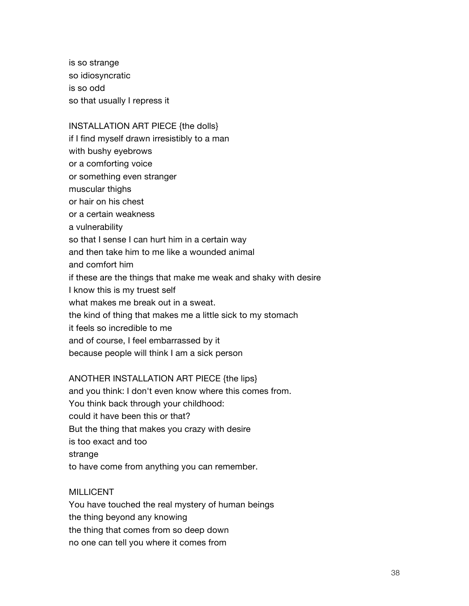is so strange so idiosyncratic is so odd so that usually I repress it

# INSTALLATION ART PIECE {the dolls} if I find myself drawn irresistibly to a man with bushy eyebrows or a comforting voice or something even stranger muscular thighs or hair on his chest or a certain weakness a vulnerability so that I sense I can hurt him in a certain way and then take him to me like a wounded animal and comfort him if these are the things that make me weak and shaky with desire I know this is my truest self what makes me break out in a sweat. the kind of thing that makes me a little sick to my stomach it feels so incredible to me and of course, I feel embarrassed by it because people will think I am a sick person

### ANOTHER INSTALLATION ART PIECE {the lips}

and you think: I don't even know where this comes from. You think back through your childhood: could it have been this or that? But the thing that makes you crazy with desire is too exact and too strange to have come from anything you can remember.

### MILLICENT

You have touched the real mystery of human beings the thing beyond any knowing the thing that comes from so deep down no one can tell you where it comes from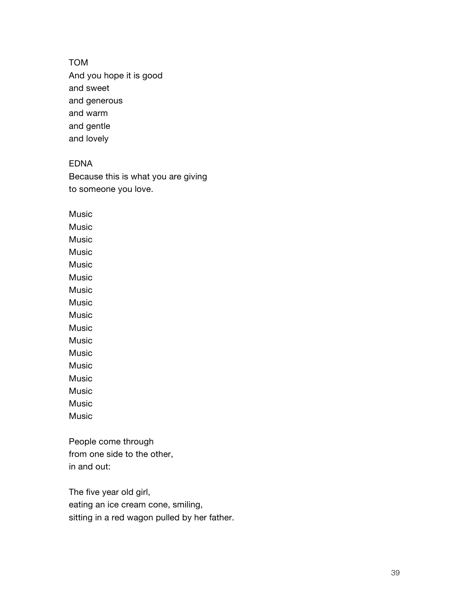#### TOM

And you hope it is good and sweet and generous and warm and gentle and lovely

### EDNA

Because this is what you are giving to someone you love.

Music

Music

Music

Music

Music

Music

Music Music

Music

Music

Music

Music

Music

Music

Music

Music

Music

People come through from one side to the other, in and out:

The five year old girl, eating an ice cream cone, smiling, sitting in a red wagon pulled by her father.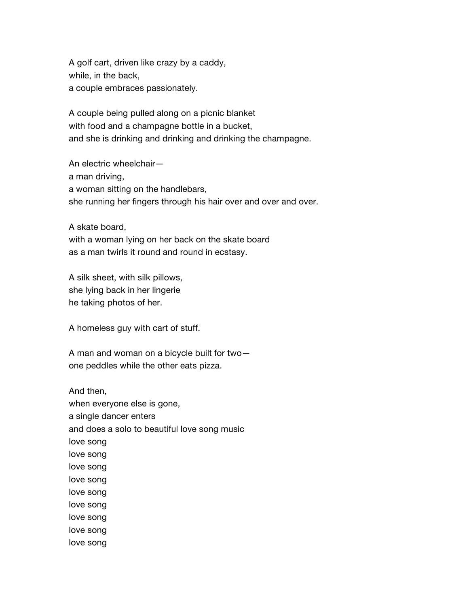A golf cart, driven like crazy by a caddy, while, in the back, a couple embraces passionately.

A couple being pulled along on a picnic blanket with food and a champagne bottle in a bucket, and she is drinking and drinking and drinking the champagne.

An electric wheelchair a man driving, a woman sitting on the handlebars, she running her fingers through his hair over and over and over.

A skate board,

with a woman lying on her back on the skate board as a man twirls it round and round in ecstasy.

A silk sheet, with silk pillows, she lying back in her lingerie he taking photos of her.

A homeless guy with cart of stuff.

A man and woman on a bicycle built for two one peddles while the other eats pizza.

And then, when everyone else is gone, a single dancer enters and does a solo to beautiful love song music love song love song love song love song love song love song love song love song love song